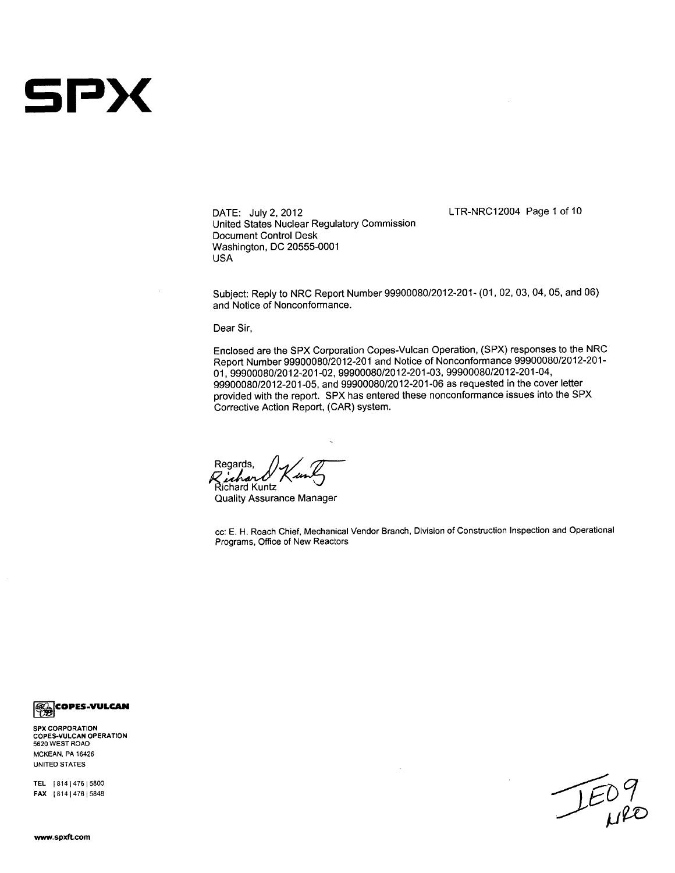# **sPx**

DATE: July 2, 2012 United States Nuclear Regulatory Commission Document Control Desk Washington, DC 20555-0001 USA

LTR-NRC12004 Page 1 of 10

Subject: Reply to NRC Report Number 99900080/2012-201- (01, 02, 03, 04, 05, and 06) and Notice of Nonconformance.

Dear Sir,

Enclosed are the SPX Corporation Copes-Vulcan Operation, (SPX) responses to the NRC Report Number 99900080/2012-201 and Notice of Nonconformance 99900080/2012-201- 01, 99900080/2012-201-02, 99900080/2012-201-03, 99900080/2012-201-04, 99900080/2012-201-05, and 99900080/2012-201-06 as requested in the cover letter provided with the report. SPX has entered these nonconformance issues into the SPX Corrective Action Report, (CAR) system.

Regards, Z*ichard*<br>Richard Kuntz

Quality Assurance Manager

cc: E. H. Roach Chief, Mechanical Vendor Branch, Division of Construction Inspection and Operational Programs, Office of New Reactors

*<b>B* COPES-VULCAN

SPX CORPORATION **COPES-VULCAN** OPERATION **5620** WEST ROAD **MCKEAN,** PA 16426 **UNITED STATES**

TEL | 814 | 476 | 5800 FAX | 814 | 476 | 5848

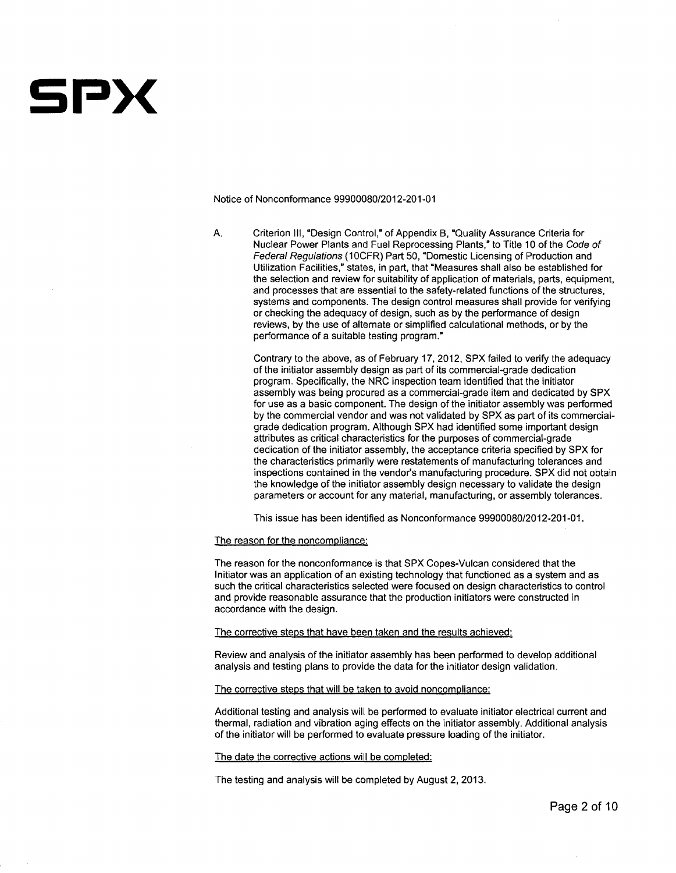

Notice of Nonconformance **99900080/2012-201-01**

**A.** Criterion **111,** "Design Control," of Appendix B, "Quality Assurance Criteria for Nuclear Power Plants and Fuel Reprocessing Plants," to Title **10** of the *Code of Federal Regulations (10CFR) Part 50, "Domestic Licensing of Production and* Utilization Facilities," states, in part, that 'Measures shall also be established for the selection and review for suitability of application of materials, parts, equipment, and processes that are essential to the safety-related functions of the structures, systems and components. The design control measures shall provide for verifying or checking the adequacy of design, such as **by** the performance of design reviews, **by** the use of alternate or simplified calculational methods, or **by** the performance of a suitable testing program."

Contrary to the above, as of February **17,** 2012, SPX failed to verify the adequacy of the initiator assembly design as part of its commercial-grade dedication program. Specifically, the NRC inspection team identified that the initiator assembly was being procured as a commercial-grade item and dedicated **by** SPX for use as a basic component. The design of the initiator assembly was performed **by** the commercial vendor and was not validated **by** SPX as part of its commercialgrade dedication program. Although SPX had identified some important design attributes as critical characteristics for the purposes of commercial-grade dedication of the initiator assembly, the acceptance criteria specified **by** SPX for the characteristics primarily were restatements of manufacturing tolerances and inspections contained in the vendor's manufacturing procedure. SPX did not obtain the knowledge of the initiator assembly design necessary to validate the design parameters or account for any material, manufacturing, or assembly tolerances.

This issue has been identified as Nonconformance **99900080/2012-201-01.**

The reason for the noncompliance:

The reason for the nonconformance is that SPX Copes-Vulcan considered that the Initiator was an application of an existing technology that functioned as a system and as such the critical characteristics selected were focused on design characteristics to control and provide reasonable assurance that the production initiators were constructed in accordance with the design.

The corrective steps that have been taken and the results achieved:

Review and analysis of the initiator assembly has been performed to develop additional analysis and testing plans to provide the data for the initiator design validation.

The corrective steps that will be taken to avoid noncompliance:

Additional testing and analysis will be performed to evaluate initiator electrical current and thermal, radiation and vibration aging effects on the initiator assembly. Additional analysis of the initiator will be performed to evaluate pressure loading of the initiator.

The date the corrective actions will be completed:

The testing and analysis will be completed **by** August 2, **2013.**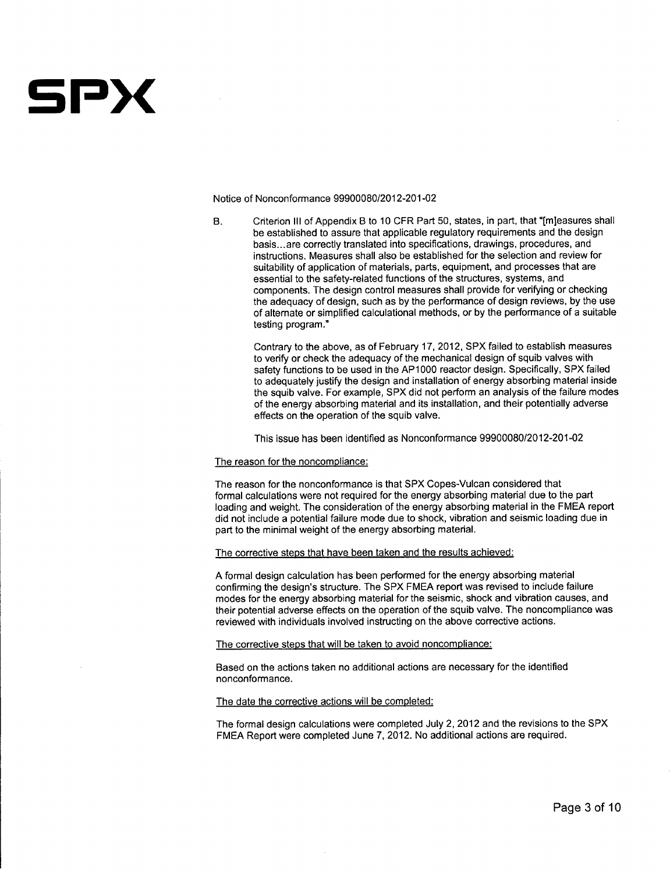# SPX

Notice of Nonconformance **99900080/2012-201-02**

B. Criterion **III** of Appendix B to **10** CFR Part **50,** states, in part, that "[m]easures shall be established to assure that applicable regulatory requirements and the design basis **...** are correctly translated into specifications, drawings, procedures, and instructions. Measures shall also be established for the selection and review for suitability of application of materials, parts, equipment, and processes that are essential to the safety-related functions of the structures, systems, and components. The design control measures shall provide for verifying or checking the adequacy of design, such as **by** the performance of design reviews, **by** the use of alternate or simplified calculational methods, or **by** the performance of a suitable testing program."

Contrary to the above, as of February **17,** 2012, SPX failed to establish measures to verify or check the adequacy of the mechanical design of squib valves with safety functions to be used in the AP1 **000** reactor design. Specifically, SPX failed to adequately justify the design and installation of energy absorbing material inside the squib valve. For example, SPX did not perform an analysis of the failure modes of the energy absorbing material and its installation, and their potentially adverse effects on the operation of the squib valve.

This issue has been identified as Nonconformance **99900080/2012-201-02**

## The reason for the noncompliance:

The reason for the nonconformance is that SPX Copes-Vulcan considered that formal calculations were not required for the energy absorbing material due to the part loading and weight. The consideration of the energy absorbing material in the **FMEA** report did not include a potential failure mode due to shock, vibration and seismic loading due in part to the minimal weight of the energy absorbing material.

#### The corrective steps that have been taken and the results achieved:

**A** formal design calculation has been performed for the energy absorbing material confirming the design's structure. The SPX **FMEA** report was revised to include failure modes for the energy absorbing material for the seismic, shock and vibration causes, and their potential adverse effects on the operation of the squib valve. The noncompliance was reviewed with individuals involved instructing on the above corrective actions.

The corrective steps that will be taken to avoid noncompliance:

Based on the actions taken no additional actions are necessary for the identified nonconformance.

#### The date the corrective actions will be completed:

The formal design calculations were completed July 2, 2012 and the revisions to the SPX **FMEA** Report were completed June **7,** 2012. No additional actions are required.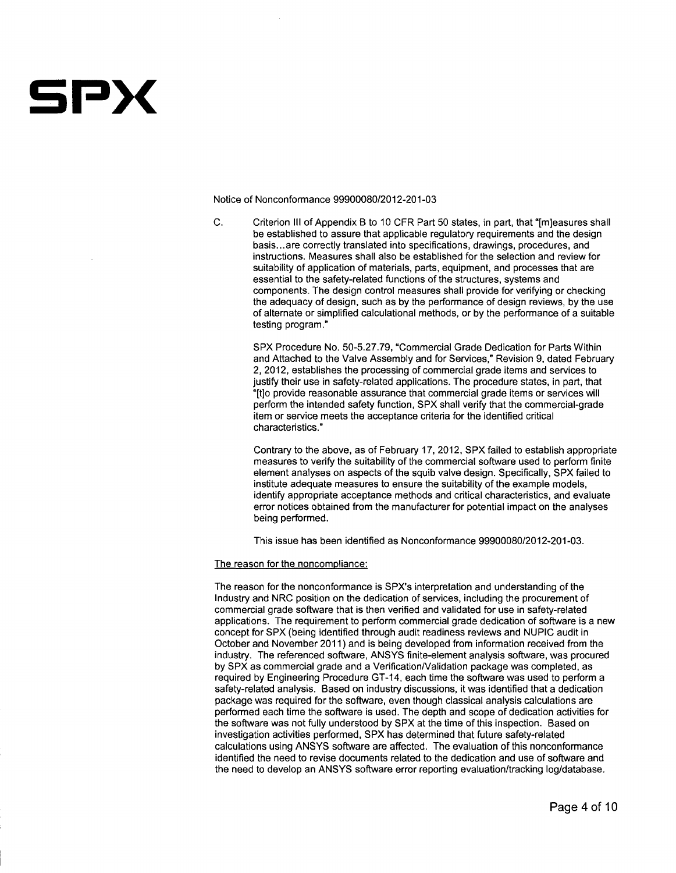# SPX

Notice of Nonconformance **99900080/2012-201-03**

**C.** Criterion **III** of Appendix B to **10** CFR Part **50** states, in part, that "[m]easures shall be established to assure that applicable regulatory requirements and the design basis **...** are correctly translated into specifications, drawings, procedures, and instructions. Measures shall also be established for the selection and review for suitability of application of materials, parts, equipment, and processes that are essential to the safety-related functions of the structures, systems and components. The design control measures shall provide for verifying or checking the adequacy of design, such as **by** the performance of design reviews, **by** the use of alternate or simplified calculational methods, or **by** the performance of a suitable testing program."

SPX Procedure No. **50-5.27.79,** "Commercial Grade Dedication for Parts Within and Attached to the Valve Assembly and for Services," Revision **9,** dated February 2, 2012, establishes the processing of commercial grade items and services to justify their use in safety-related applications. The procedure states, in part, that "[flo provide reasonable assurance that commercial grade items or services will perform the intended safety function, SPX shall verify that the commercial-grade item or service meets the acceptance criteria for the identified critical characteristics."

Contrary to the above, as of February **17,** 2012, SPX failed to establish appropriate measures to verify the suitability of the commercial software used to perform finite element analyses on aspects of the squib valve design. Specifically, SPX failed to institute adequate measures to ensure the suitability of the example models, identify appropriate acceptance methods and critical characteristics, and evaluate error notices obtained from the manufacturer for potential impact on the analyses being performed.

This issue has been identified as Nonconformance **99900080/2012-201-03.**

## The reason for the noncomoliance:

The reason for the nonconformance is SPX's interpretation and understanding of the Industry and NRC position on the dedication of services, including the procurement of commercial grade software that is then verified and validated for use in safety-related applications. The requirement to perform commercial grade dedication of software is a new concept for SPX (being identified through audit readiness reviews and **NUPIC** audit in October and November **2011)** and is being developed from information received from the industry. The referenced software, **ANSYS** finite-element analysis software, was procured **by** SPX as commercial grade and a Verification/Validation package was completed, as required **by** Engineering Procedure GT-14, each time the software was used to perform a safety-related analysis. Based on industry discussions, it was identified that a dedication package was required for the software, even though classical analysis calculations are performed each time the software is used. The depth and scope of dedication activities for the software was not fully understood **by** SPX at the time of this inspection. Based on investigation activities performed, SPX has determined that future safety-related calculations using **ANSYS** software are affected. The evaluation of this nonconformance identified the need to revise documents related to the dedication and use of software and the need to develop an **ANSYS** software error reporting evaluation/tracking log/database.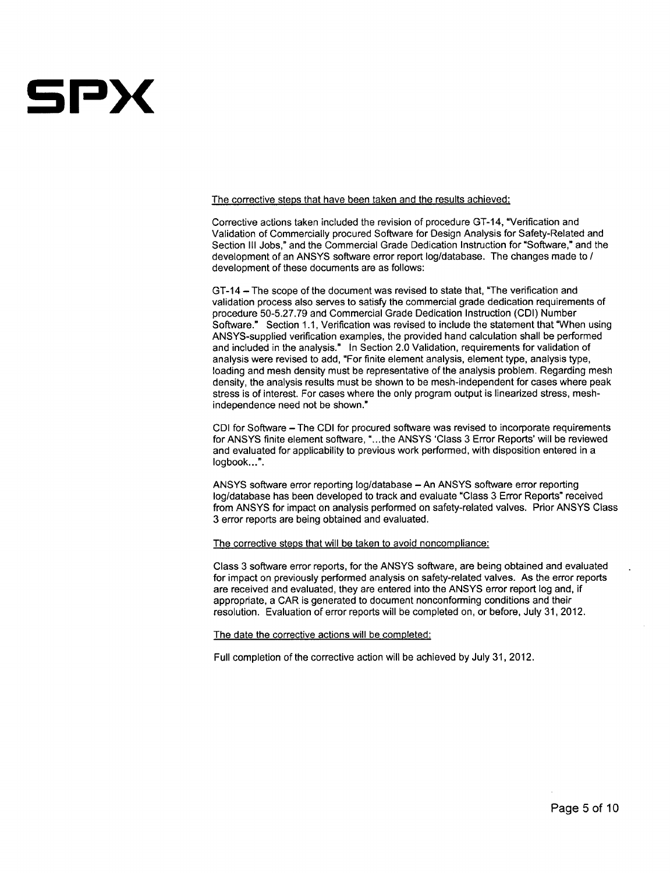# **5Px**

The corrective steps that have been taken and the results achieved:

Corrective actions taken included the revision of procedure GT-14, "Verification and Validation of Commercially procured Software for Design Analysis for Safety-Related and Section III Jobs," and the Commercial Grade Dedication Instruction for "Software," and the development of an ANSYS software error report log/database. The changes made to / development of these documents are as follows:

GT-14 - The scope of the document was revised to state that, "The verification and validation process also serves to satisfy the commercial grade dedication requirements of procedure 50-5.27.79 and Commercial Grade Dedication Instruction (CDI) Number Software." Section 1.1, Verification was revised to include the statement that "When using ANSYS-supplied verification examples, the provided hand calculation shall be performed and included in the analysis." In Section 2.0 Validation, requirements for validation of analysis were revised to add, "For finite element analysis, element type, analysis type, loading and mesh density must be representative of the analysis problem. Regarding mesh density, the analysis results must be shown to be mesh-independent for cases where peak stress is of interest. For cases where the only program output is linearized stress, meshindependence need not be shown."

CDI for Software - The CDI for procured software was revised to incorporate requirements for ANSYS finite element software, "...the ANSYS 'Class 3 Error Reports' will be reviewed and evaluated for applicability to previous work performed, with disposition entered in a logbook...".

ANSYS software error reporting log/database - An ANSYS software error reporting log/database has been developed to track and evaluate "Class 3 Error Reports" received from ANSYS for impact on analysis performed on safety-related valves. Prior ANSYS Class 3 error reports are being obtained and evaluated.

### The corrective steps that will be taken to avoid noncompliance:

Class 3 software error reports, for the ANSYS software, are being obtained and evaluated for impact on previously performed analysis on safety-related valves. As the error reports are received and evaluated, they are entered into the ANSYS error report log and, if appropriate, a CAR is generated to document nonconforming conditions and their resolution. Evaluation of error reports will be completed on, or before, July 31, 2012.

The date the corrective actions will be completed:

Full completion of the corrective action will be achieved by July 31, 2012.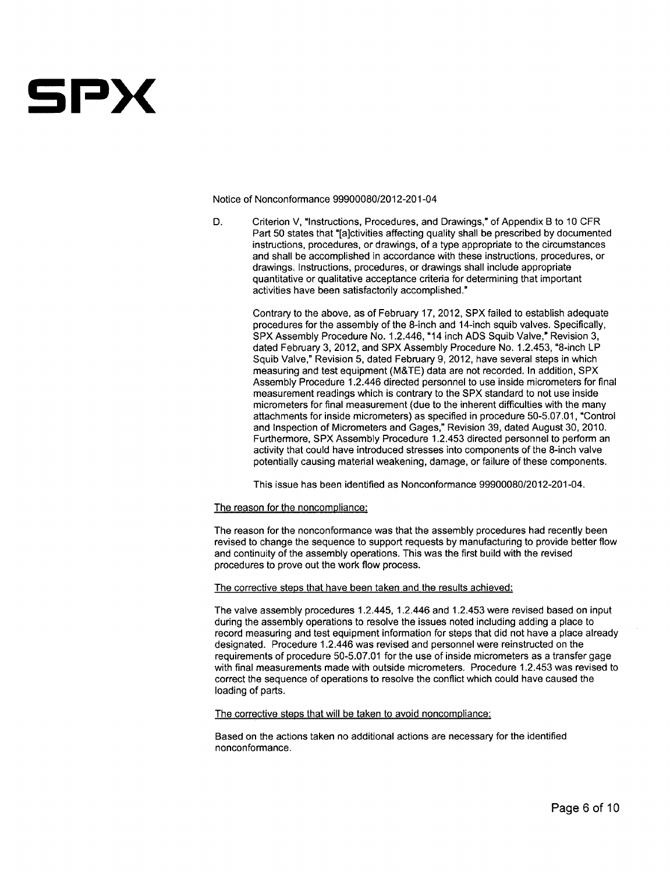

Notice of Nonconformance **99900080/2012-201-04**

**D.** Criterion V, "Instructions, Procedures, and Drawings," of Appendix B to **10** CFR Part **50** states that "[a]ctivities affecting quality shall be prescribed **by** documented instructions, procedures, or drawings, of a type appropriate to the circumstances and shall be accomplished in accordance with these instructions, procedures, or drawings. Instructions, procedures, or drawings shall include appropriate quantitative or qualitative acceptance criteria for determining that important activities have been satisfactorily accomplished."

> Contrary to the above, as of February **17,** 2012, SPX failed to establish adequate procedures for the assembly of the 8-inch and 14-inch squib valves. Specifically, SPX Assembly Procedure No. 1.2.446, **"l** 4 inch **ADS** Squib Valve," Revision **3,** dated February **3,** 2012, and SPX Assembly Procedure No. 1.2.453, "8-inch LP Squib Valve," Revision **5,** dated February **9,** 2012, have several steps in which measuring and test equipment (M&TE) data are not recorded. In addition, SPX Assembly Procedure 1.2.446 directed personnel to use inside micrometers for final measurement readings which is contrary to the SPX standard to not use inside micrometers for final measurement (due to the inherent difficulties with the many attachments for inside micrometers) as specified in procedure **50-5.07.01,** "Control and Inspection of Micrometers and Gages," Revision **39,** dated August **30, 2010.** Furthermore, SPX Assembly Procedure 1.2.453 directed personnel to perform an activity that could have introduced stresses into components of the 8-inch valve potentially causing material weakening, damage, or failure of these components.

This issue has been identified as Nonconformance **99900080/2012-201-04.**

#### The reason for the noncompliance:

The reason for the nonconformance was that the assembly procedures had recently been revised to change the sequence to support requests **by** manufacturing to provide better flow and continuity of the assembly operations. This was the first build with the revised procedures to prove out the work flow process.

## The corrective steps that have been taken and the results achieved:

The valve assembly procedures 1.2.445, 1.2.446 and 1.2.453 were revised based on input during the assembly operations to resolve the issues noted including adding a place to record measuring and test equipment information for steps that did not have a place already designated. Procedure 1.2.446 was revised and personnel were reinstructed on the requirements of procedure **50-5.07.01** for the use of inside micrometers as a transfer gage with final measurements made with outside micrometers. Procedure 1.2.453 was revised to correct the sequence of operations to resolve the conflict which could have caused the loading of parts.

#### The corrective steps that will be taken to avoid noncompliance:

Based on the actions taken no additional actions are necessary for the identified nonconformance.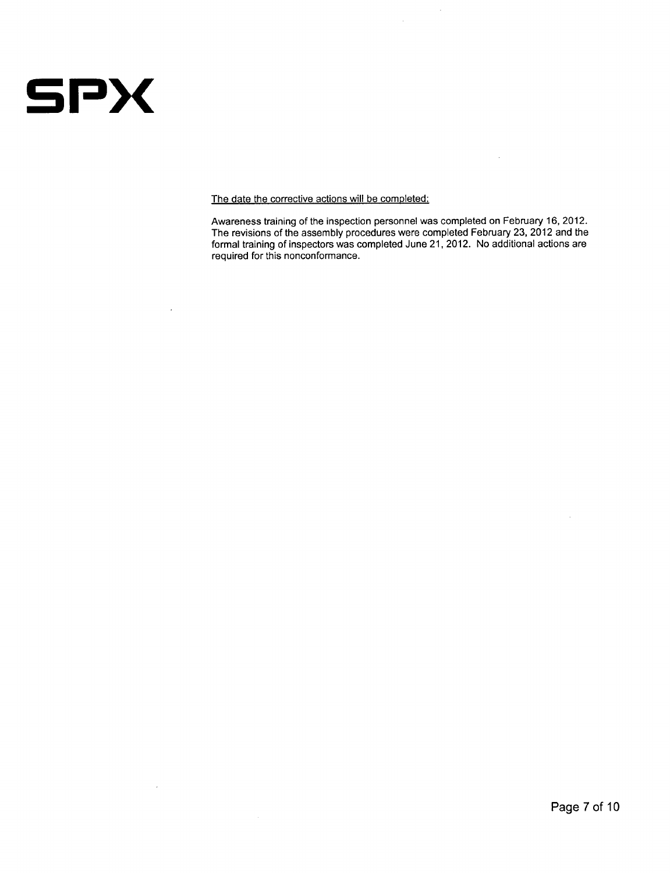

 $\overline{\phantom{a}}$ 

 $\mathcal{A}^{\text{max}}$ 

The date the corrective actions will be completed:

Awareness training of the inspection personnel was completed on February **16,** 2012. The revisions of the assembly procedures were completed February **23,** 2012 and the formal training of inspectors was completed June 21, 2012. No additional actions are required for this nonconformance.

 $\hat{\mathcal{A}}$ 

 $\sim$ 

 $\bar{\mathcal{A}}$ 

 $\mathcal{L}_{\mathcal{L}}$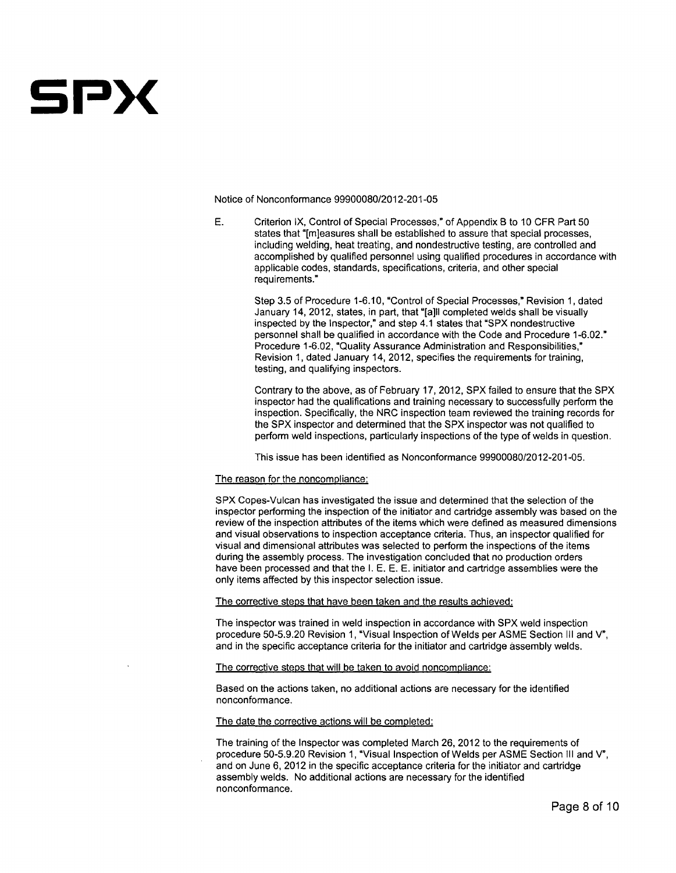

Notice of Nonconformance **99900080/2012-201-05**

**E.** Criterion IX, Control of Special Processes," of Appendix B to **10** CFR Part **50** states that "[m]easures shall be established to assure that special processes, including welding, heat treating, and nondestructive testing, are controlled and accomplished **by** qualified personnel using qualified procedures in accordance with applicable codes, standards, specifications, criteria, and other special requirements."

Step **3.5** of Procedure **1-6.10,** "Control of Special Processes," Revision **1,** dated January 14, 2012, states, in part, that "[a]II completed welds shall be visually inspected **by** the Inspector," and step 4.1 states that "SPX nondestructive personnel shall be qualified in accordance with the Code and Procedure **1-6.02."** Procedure **1-6.02,** "Quality Assurance Administration and Responsibilities," Revision **1,** dated January 14, 2012, specifies the requirements for training, testing, and qualifying inspectors.

Contrary to the above, as of February **17,** 2012, SPX failed to ensure that the SPX inspector had the qualifications and training necessary to successfully perform the inspection. Specifically, the NRC inspection team reviewed the training records for the SPX inspector and determined that the SPX inspector was not qualified to perform weld inspections, particularly inspections of the type of welds in question.

This issue has been identified as Nonconformance **99900080/2012-201-05.**

#### The reason for the noncompliance:

SPX Copes-Vulcan has investigated the issue and determined that the selection of the inspector performing the inspection of the initiator and cartridge assembly was based on the review of the inspection attributes of the items which were defined as measured dimensions and visual observations to inspection acceptance criteria. Thus, an inspector qualified for visual and dimensional attributes was selected to perform the inspections of the items during the assembly process. The investigation concluded that no production orders have been processed and that the **1. E. E. E.** initiator and cartridge assemblies were the only items affected **by** this inspector selection issue.

The corrective steps that have been taken and the results achieved:

The inspector was trained in weld inspection in accordance with SPX weld inspection procedure **50-5.9.20** Revision **1,** "Visual Inspection of Welds per **ASME** Section **III** and V", and in the specific acceptance criteria for the initiator and cartridge assembly welds.

The corrective steps that will be taken to avoid noncompliance:

Based on the actions taken, no additional actions are necessary for the identified nonconformance.

The date the corrective actions will be completed:

The training of the Inspector was completed March **26,** 2012 to the requirements of procedure **50-5.9.20** Revision **1,** "Visual Inspection of Welds per **ASME** Section **III** and **V",** and on June **6,** 2012 in the specific acceptance criteria for the initiator and cartridge assembly welds. No additional actions are necessary for the identified nonconformance.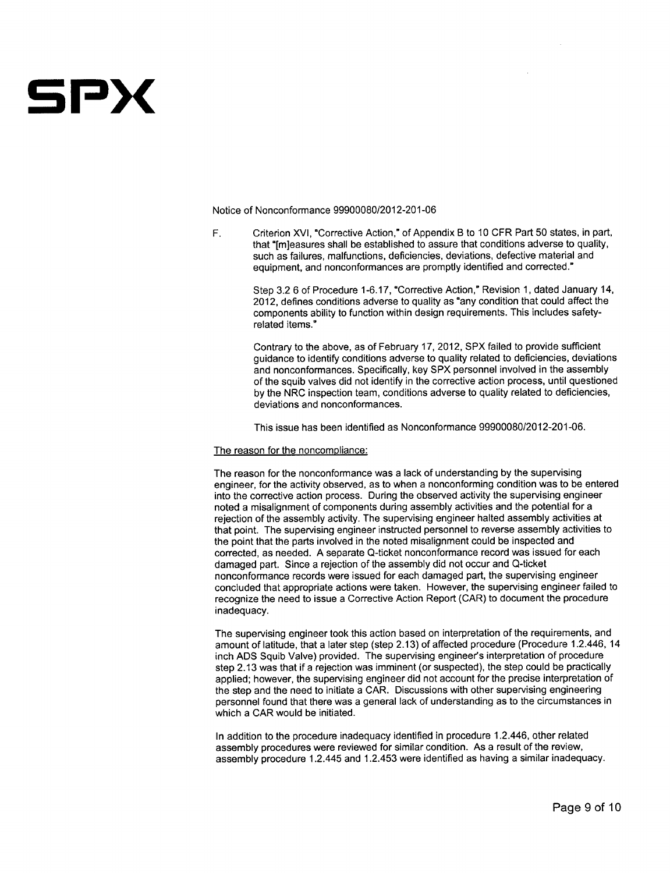# **5Px**

Notice of Nonconformance 99900080/2012-201-06

F. Criterion XVI, "Corrective Action," of Appendix B to 10 CFR Part 50 states, in part, that "[m]easures shall be established to assure that conditions adverse to quality, such as failures, malfunctions, deficiencies, deviations, defective material and equipment, and nonconformances are promptly identified and corrected."

> Step 3.2 6 of Procedure 1-6.17, "Corrective Action," Revision 1, dated January 14, 2012, defines conditions adverse to quality as "any condition that could affect the components ability to function within design requirements. This includes safetyrelated items."

Contrary to the above, as of February 17, 2012, SPX failed to provide sufficient guidance to identify conditions adverse to quality related to deficiencies, deviations and nonconformances. Specifically, key SPX personnel involved in the assembly of the squib valves did not identify in the corrective action process, until questioned by the NRC inspection team, conditions adverse to quality related to deficiencies, deviations and nonconformances.

This issue has been identified as Nonconformance 99900080/2012-201-06.

## The reason for the noncompliance:

The reason for the nonconformance was a lack of understanding by the supervising engineer, for the activity observed, as to when a nonconforming condition was to be entered into the corrective action process. During the observed activity the supervising engineer noted a misalignment of components during assembly activities and the potential for a rejection of the assembly activity. The supervising engineer halted assembly activities at that point. The supervising engineer instructed personnel to reverse assembly activities to the point that the parts involved in the noted misalignment could be inspected and corrected, as needed. A separate Q-ticket nonconformance record was issued for each damaged part. Since a rejection of the assembly did not occur and Q-ticket nonconformance records were issued for each damaged part, the supervising engineer concluded that appropriate actions were taken. However, the supervising engineer failed to recognize the need to issue a Corrective Action Report (CAR) to document the procedure inadequacy.

The supervising engineer took this action based on interpretation of the requirements, and amount of latitude, that a later step (step 2.13) of affected procedure (Procedure 1.2.446, 14 inch ADS Squib Valve) provided. The supervising engineer's interpretation of procedure step 2.13 was that if a rejection was imminent (or suspected), the step could be practically applied; however, the supervising engineer did not account for the precise interpretation of the step and the need to initiate a CAR. Discussions with other supervising engineering personnel found that there was a general lack of understanding as to the circumstances in which a CAR would be initiated.

In addition to the procedure inadequacy identified in procedure 1.2.446, other related assembly procedures were reviewed for similar condition. As a result of the review, assembly procedure 1.2.445 and 1.2.453 were identified as having a similar inadequacy.